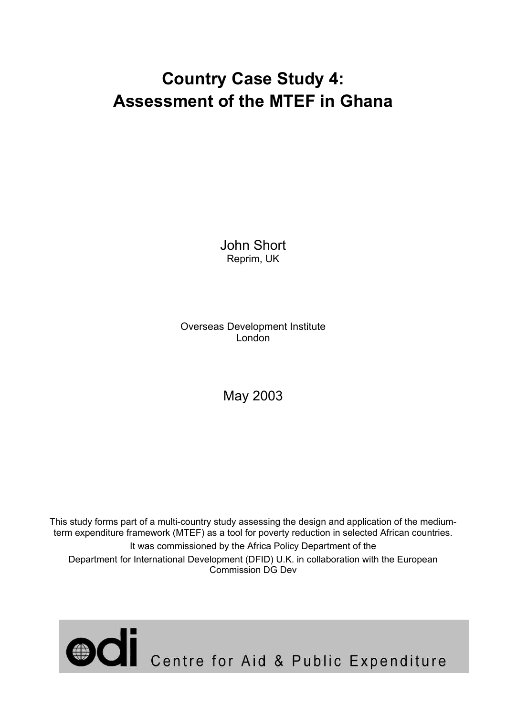# **Country Case Study 4: Assessment of the MTEF in Ghana**

John Short Reprim, UK

Overseas Development Institute London

May 2003

This study forms part of a multi-country study assessing the design and application of the mediumterm expenditure framework (MTEF) as a tool for poverty reduction in selected African countries. It was commissioned by the Africa Policy Department of the Department for International Development (DFID) U.K. in collaboration with the European Commission DG Dev

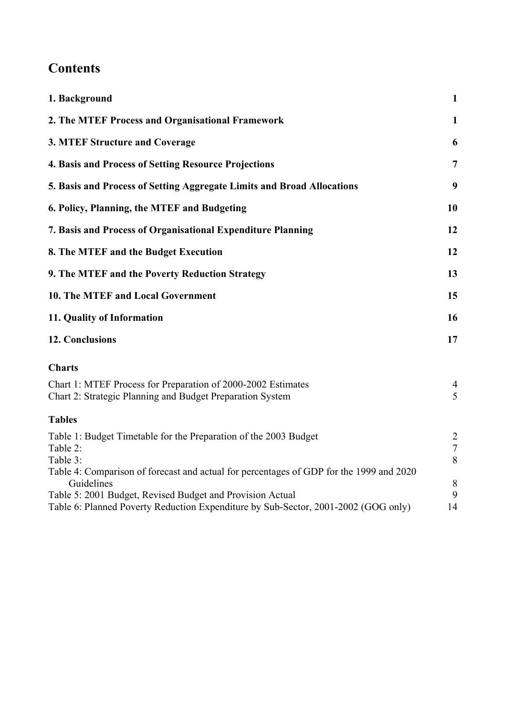## **Contents**

| 1. Background                                                                                                                                   | $\mathbf{1}$                  |
|-------------------------------------------------------------------------------------------------------------------------------------------------|-------------------------------|
| 2. The MTEF Process and Organisational Framework                                                                                                | $\mathbf{1}$                  |
| 3. MTEF Structure and Coverage                                                                                                                  | 6                             |
| 4. Basis and Process of Setting Resource Projections                                                                                            | $\overline{7}$                |
| 5. Basis and Process of Setting Aggregate Limits and Broad Allocations                                                                          | 9                             |
| 6. Policy, Planning, the MTEF and Budgeting                                                                                                     | 10                            |
| 7. Basis and Process of Organisational Expenditure Planning                                                                                     | 12                            |
| 8. The MTEF and the Budget Execution                                                                                                            | 12                            |
| 9. The MTEF and the Poverty Reduction Strategy                                                                                                  | 13                            |
| 10. The MTEF and Local Government                                                                                                               | 15                            |
| 11. Quality of Information                                                                                                                      | 16                            |
| <b>12. Conclusions</b>                                                                                                                          | 17                            |
| <b>Charts</b>                                                                                                                                   |                               |
| Chart 1: MTEF Process for Preparation of 2000-2002 Estimates<br>Chart 2: Strategic Planning and Budget Preparation System                       | 4<br>5                        |
| <b>Tables</b>                                                                                                                                   |                               |
| Table 1: Budget Timetable for the Preparation of the 2003 Budget<br>Table 2:<br>Table 3:                                                        | $\overline{2}$<br>$\tau$<br>8 |
| Table 4: Comparison of forecast and actual for percentages of GDP for the 1999 and 2020<br>Guidelines                                           | $\,8\,$                       |
| Table 5: 2001 Budget, Revised Budget and Provision Actual<br>Table 6: Planned Poverty Reduction Expenditure by Sub-Sector, 2001-2002 (GOG only) | 9<br>14                       |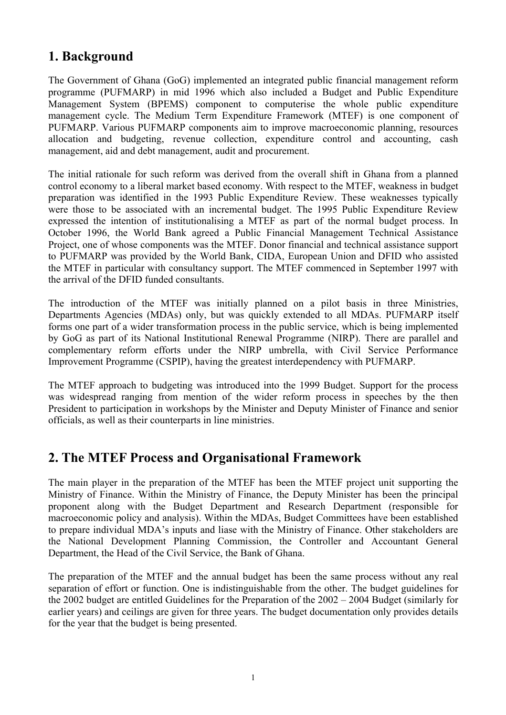## **1. Background**

The Government of Ghana (GoG) implemented an integrated public financial management reform programme (PUFMARP) in mid 1996 which also included a Budget and Public Expenditure Management System (BPEMS) component to computerise the whole public expenditure management cycle. The Medium Term Expenditure Framework (MTEF) is one component of PUFMARP. Various PUFMARP components aim to improve macroeconomic planning, resources allocation and budgeting, revenue collection, expenditure control and accounting, cash management, aid and debt management, audit and procurement.

The initial rationale for such reform was derived from the overall shift in Ghana from a planned control economy to a liberal market based economy. With respect to the MTEF, weakness in budget preparation was identified in the 1993 Public Expenditure Review. These weaknesses typically were those to be associated with an incremental budget. The 1995 Public Expenditure Review expressed the intention of institutionalising a MTEF as part of the normal budget process. In October 1996, the World Bank agreed a Public Financial Management Technical Assistance Project, one of whose components was the MTEF. Donor financial and technical assistance support to PUFMARP was provided by the World Bank, CIDA, European Union and DFID who assisted the MTEF in particular with consultancy support. The MTEF commenced in September 1997 with the arrival of the DFID funded consultants.

The introduction of the MTEF was initially planned on a pilot basis in three Ministries, Departments Agencies (MDAs) only, but was quickly extended to all MDAs. PUFMARP itself forms one part of a wider transformation process in the public service, which is being implemented by GoG as part of its National Institutional Renewal Programme (NIRP). There are parallel and complementary reform efforts under the NIRP umbrella, with Civil Service Performance Improvement Programme (CSPIP), having the greatest interdependency with PUFMARP.

The MTEF approach to budgeting was introduced into the 1999 Budget. Support for the process was widespread ranging from mention of the wider reform process in speeches by the then President to participation in workshops by the Minister and Deputy Minister of Finance and senior officials, as well as their counterparts in line ministries.

## **2. The MTEF Process and Organisational Framework**

The main player in the preparation of the MTEF has been the MTEF project unit supporting the Ministry of Finance. Within the Ministry of Finance, the Deputy Minister has been the principal proponent along with the Budget Department and Research Department (responsible for macroeconomic policy and analysis). Within the MDAs, Budget Committees have been established to prepare individual MDA's inputs and liase with the Ministry of Finance. Other stakeholders are the National Development Planning Commission, the Controller and Accountant General Department, the Head of the Civil Service, the Bank of Ghana.

The preparation of the MTEF and the annual budget has been the same process without any real separation of effort or function. One is indistinguishable from the other. The budget guidelines for the 2002 budget are entitled Guidelines for the Preparation of the 2002 – 2004 Budget (similarly for earlier years) and ceilings are given for three years. The budget documentation only provides details for the year that the budget is being presented.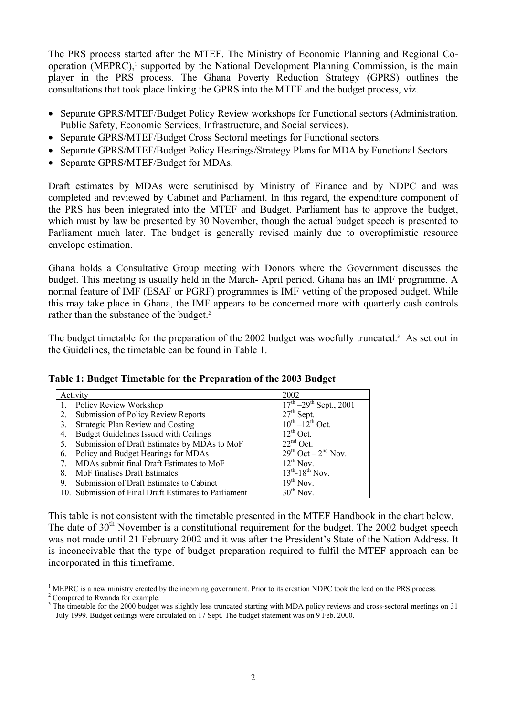The PRS process started after the MTEF. The Ministry of Economic Planning and Regional Cooperation (MEPRC), $\frac{1}{2}$  supported by the National Development Planning Commission, is the main player in the PRS process. The Ghana Poverty Reduction Strategy (GPRS) outlines the consultations that took place linking the GPRS into the MTEF and the budget process, viz.

- Separate GPRS/MTEF/Budget Policy Review workshops for Functional sectors (Administration. Public Safety, Economic Services, Infrastructure, and Social services).
- Separate GPRS/MTEF/Budget Cross Sectoral meetings for Functional sectors.
- Separate GPRS/MTEF/Budget Policy Hearings/Strategy Plans for MDA by Functional Sectors.
- Separate GPRS/MTEF/Budget for MDAs.

Draft estimates by MDAs were scrutinised by Ministry of Finance and by NDPC and was completed and reviewed by Cabinet and Parliament. In this regard, the expenditure component of the PRS has been integrated into the MTEF and Budget. Parliament has to approve the budget, which must by law be presented by 30 November, though the actual budget speech is presented to Parliament much later. The budget is generally revised mainly due to overoptimistic resource envelope estimation.

Ghana holds a Consultative Group meeting with Donors where the Government discusses the budget. This meeting is usually held in the March- April period. Ghana has an IMF programme. A normal feature of IMF (ESAF or PGRF) programmes is IMF vetting of the proposed budget. While this may take place in Ghana, the IMF appears to be concerned more with quarterly cash controls rather than the substance of the budget.<sup>2</sup>

The budget timetable for the preparation of the 2002 budget was woefully truncated.<sup>3</sup> As set out in the Guidelines, the timetable can be found in Table 1.

**Table 1: Budget Timetable for the Preparation of the 2003 Budget** 

|    | Activity                                              | 2002                                                         |
|----|-------------------------------------------------------|--------------------------------------------------------------|
|    | Policy Review Workshop                                | $\frac{17^{\text{th}} - 29^{\text{th}}}{\text{Sept.}}, 2001$ |
| 2. | Submission of Policy Review Reports                   | $27th$ Sept.                                                 |
| 3. | Strategic Plan Review and Costing                     | $10^{th} - 12^{th}$ Oct.                                     |
| 4. | Budget Guidelines Issued with Ceilings                | $12^{th}$ Oct.                                               |
| 5. | Submission of Draft Estimates by MDAs to MoF          | $22nd$ Oct.                                                  |
| 6. | Policy and Budget Hearings for MDAs                   | $29^{th}$ Oct – $2^{nd}$ Nov.                                |
|    | MDAs submit final Draft Estimates to MoF              | $12^{th}$ Nov.                                               |
| 8. | MoF finalises Draft Estimates                         | $13^{th} - 18^{th}$ Nov.                                     |
| 9. | Submission of Draft Estimates to Cabinet              | $19^{th}$ Nov.                                               |
|    | 10. Submission of Final Draft Estimates to Parliament | $30^{th}$ Nov.                                               |

This table is not consistent with the timetable presented in the MTEF Handbook in the chart below. The date of  $30<sup>th</sup>$  November is a constitutional requirement for the budget. The 2002 budget speech was not made until 21 February 2002 and it was after the President's State of the Nation Address. It is inconceivable that the type of budget preparation required to fulfil the MTEF approach can be incorporated in this timeframe.

 $\overline{a}$ 1 MEPRC is a new ministry created by the incoming government. Prior to its creation NDPC took the lead on the PRS process. 2

Compared to Rwanda for example.

<sup>3</sup> The timetable for the 2000 budget was slightly less truncated starting with MDA policy reviews and cross-sectoral meetings on 31 July 1999. Budget ceilings were circulated on 17 Sept. The budget statement was on 9 Feb. 2000.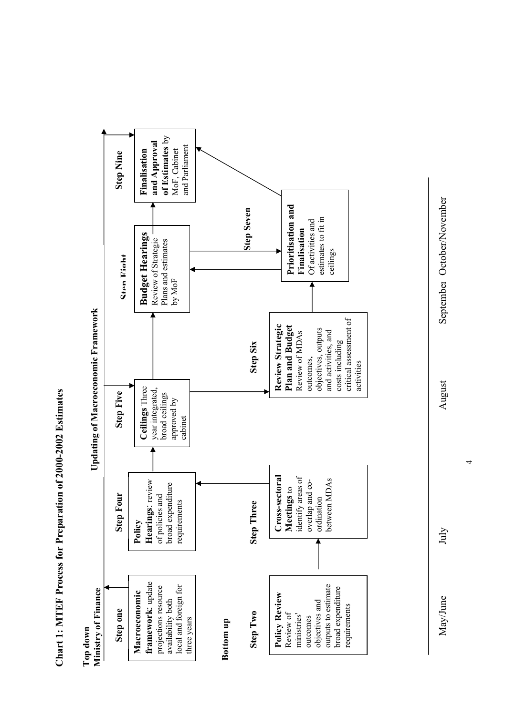Chart 1: MTEF Process for Preparation of 2000-2002 Estimates **Chart 1: MTEF Process for Preparation of 2000-2002 Estimates** 



May/June July July August September October/November September October/November

July

May/June

 $\overline{a}$ 

August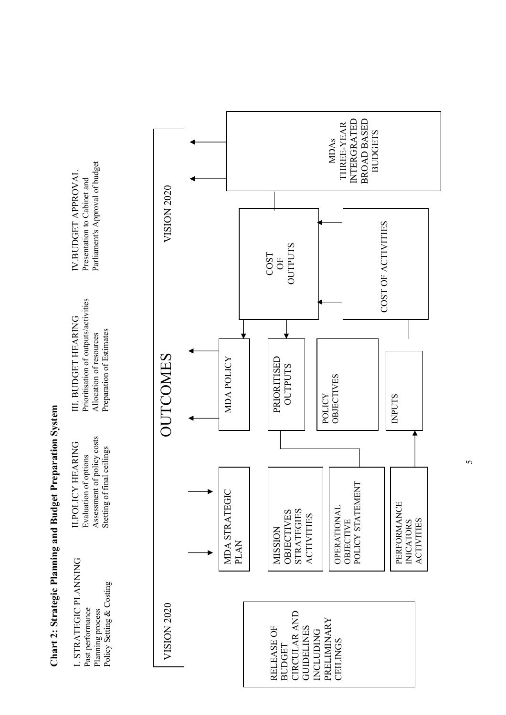**Chart 2: Strategic Planning and Budget Preparation System**  Chart 2: Strategic Planning and Budget Preparation System



5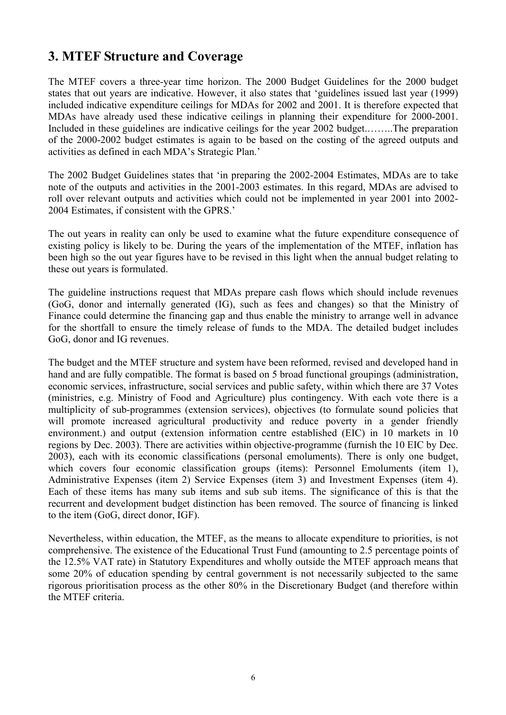## **3. MTEF Structure and Coverage**

The MTEF covers a three-year time horizon. The 2000 Budget Guidelines for the 2000 budget states that out years are indicative. However, it also states that 'guidelines issued last year (1999) included indicative expenditure ceilings for MDAs for 2002 and 2001. It is therefore expected that MDAs have already used these indicative ceilings in planning their expenditure for 2000-2001. Included in these guidelines are indicative ceilings for the year 2002 budget.……..The preparation of the 2000-2002 budget estimates is again to be based on the costing of the agreed outputs and activities as defined in each MDA's Strategic Plan.'

The 2002 Budget Guidelines states that 'in preparing the 2002-2004 Estimates, MDAs are to take note of the outputs and activities in the 2001-2003 estimates. In this regard, MDAs are advised to roll over relevant outputs and activities which could not be implemented in year 2001 into 2002- 2004 Estimates, if consistent with the GPRS.'

The out years in reality can only be used to examine what the future expenditure consequence of existing policy is likely to be. During the years of the implementation of the MTEF, inflation has been high so the out year figures have to be revised in this light when the annual budget relating to these out years is formulated.

The guideline instructions request that MDAs prepare cash flows which should include revenues (GoG, donor and internally generated (IG), such as fees and changes) so that the Ministry of Finance could determine the financing gap and thus enable the ministry to arrange well in advance for the shortfall to ensure the timely release of funds to the MDA. The detailed budget includes GoG, donor and IG revenues.

The budget and the MTEF structure and system have been reformed, revised and developed hand in hand and are fully compatible. The format is based on 5 broad functional groupings (administration, economic services, infrastructure, social services and public safety, within which there are 37 Votes (ministries, e.g. Ministry of Food and Agriculture) plus contingency. With each vote there is a multiplicity of sub-programmes (extension services), objectives (to formulate sound policies that will promote increased agricultural productivity and reduce poverty in a gender friendly environment.) and output (extension information centre established (EIC) in 10 markets in 10 regions by Dec. 2003). There are activities within objective-programme (furnish the 10 EIC by Dec. 2003), each with its economic classifications (personal emoluments). There is only one budget, which covers four economic classification groups (items): Personnel Emoluments (item 1), Administrative Expenses (item 2) Service Expenses (item 3) and Investment Expenses (item 4). Each of these items has many sub items and sub sub items. The significance of this is that the recurrent and development budget distinction has been removed. The source of financing is linked to the item (GoG, direct donor, IGF).

Nevertheless, within education, the MTEF, as the means to allocate expenditure to priorities, is not comprehensive. The existence of the Educational Trust Fund (amounting to 2.5 percentage points of the 12.5% VAT rate) in Statutory Expenditures and wholly outside the MTEF approach means that some 20% of education spending by central government is not necessarily subjected to the same rigorous prioritisation process as the other 80% in the Discretionary Budget (and therefore within the MTEF criteria.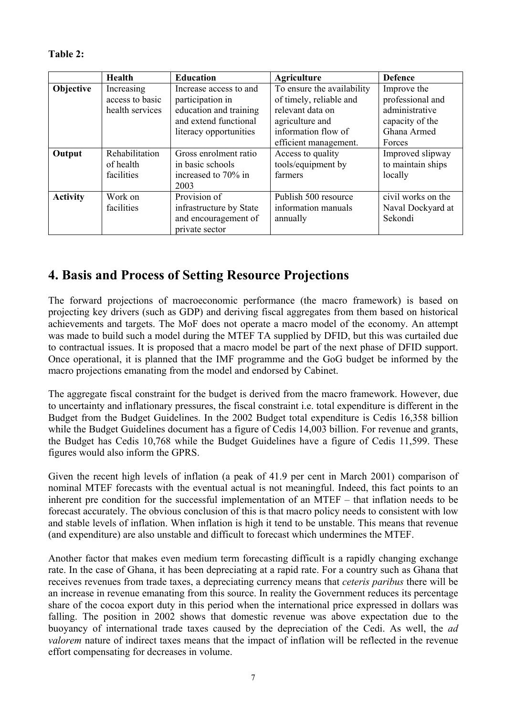| l`able ′ |  |
|----------|--|
|----------|--|

|                 | <b>Health</b>                                    | <b>Education</b>                                                                                                        | <b>Agriculture</b>                                                                                                                           | <b>Defence</b>                                                                                |
|-----------------|--------------------------------------------------|-------------------------------------------------------------------------------------------------------------------------|----------------------------------------------------------------------------------------------------------------------------------------------|-----------------------------------------------------------------------------------------------|
| Objective       | Increasing<br>access to basic<br>health services | Increase access to and<br>participation in<br>education and training<br>and extend functional<br>literacy opportunities | To ensure the availability<br>of timely, reliable and<br>relevant data on<br>agriculture and<br>information flow of<br>efficient management. | Improve the<br>professional and<br>administrative<br>capacity of the<br>Ghana Armed<br>Forces |
| Output          | Rehabilitation<br>of health<br>facilities        | Gross enrolment ratio<br>in basic schools<br>increased to 70% in<br>2003                                                | Access to quality<br>tools/equipment by<br>farmers                                                                                           | Improved slipway<br>to maintain ships<br>locally                                              |
| <b>Activity</b> | Work on<br>facilities                            | Provision of<br>infrastructure by State<br>and encouragement of<br>private sector                                       | Publish 500 resource<br>information manuals<br>annually                                                                                      | civil works on the<br>Naval Dockyard at<br>Sekondi                                            |

#### **4. Basis and Process of Setting Resource Projections**

The forward projections of macroeconomic performance (the macro framework) is based on projecting key drivers (such as GDP) and deriving fiscal aggregates from them based on historical achievements and targets. The MoF does not operate a macro model of the economy. An attempt was made to build such a model during the MTEF TA supplied by DFID, but this was curtailed due to contractual issues. It is proposed that a macro model be part of the next phase of DFID support. Once operational, it is planned that the IMF programme and the GoG budget be informed by the macro projections emanating from the model and endorsed by Cabinet.

The aggregate fiscal constraint for the budget is derived from the macro framework. However, due to uncertainty and inflationary pressures, the fiscal constraint i.e. total expenditure is different in the Budget from the Budget Guidelines. In the 2002 Budget total expenditure is Cedis 16,358 billion while the Budget Guidelines document has a figure of Cedis 14,003 billion. For revenue and grants, the Budget has Cedis 10,768 while the Budget Guidelines have a figure of Cedis 11,599. These figures would also inform the GPRS.

Given the recent high levels of inflation (a peak of 41.9 per cent in March 2001) comparison of nominal MTEF forecasts with the eventual actual is not meaningful. Indeed, this fact points to an inherent pre condition for the successful implementation of an MTEF – that inflation needs to be forecast accurately. The obvious conclusion of this is that macro policy needs to consistent with low and stable levels of inflation. When inflation is high it tend to be unstable. This means that revenue (and expenditure) are also unstable and difficult to forecast which undermines the MTEF.

Another factor that makes even medium term forecasting difficult is a rapidly changing exchange rate. In the case of Ghana, it has been depreciating at a rapid rate. For a country such as Ghana that receives revenues from trade taxes, a depreciating currency means that *ceteris paribus* there will be an increase in revenue emanating from this source. In reality the Government reduces its percentage share of the cocoa export duty in this period when the international price expressed in dollars was falling. The position in 2002 shows that domestic revenue was above expectation due to the buoyancy of international trade taxes caused by the depreciation of the Cedi. As well, the *ad valorem* nature of indirect taxes means that the impact of inflation will be reflected in the revenue effort compensating for decreases in volume.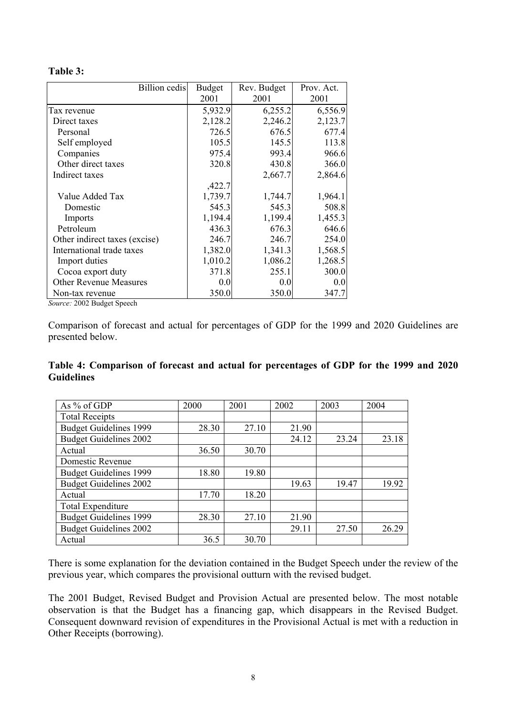#### **Table 3:**

| <b>Billion</b> cedis          | <b>Budget</b><br>2001 | Rev. Budget<br>2001 | Prov. Act.<br>2001 |
|-------------------------------|-----------------------|---------------------|--------------------|
| Tax revenue                   | 5,932.9               | 6,255.2             | 6,556.9            |
| Direct taxes                  | 2,128.2               | 2,246.2             | 2,123.7            |
| Personal                      | 726.5                 | 676.5               | 677.4              |
| Self employed                 | 105.5                 | 145.5               | 113.8              |
| Companies                     | 975.4                 | 993.4               | 966.6              |
| Other direct taxes            | 320.8                 | 430.8               | 366.0              |
| Indirect taxes                |                       | 2,667.7             | 2,864.6            |
|                               | ,422.7                |                     |                    |
| Value Added Tax               | 1,739.7               | 1,744.7             | 1,964.1            |
| Domestic                      | 545.3                 | 545.3               | 508.8              |
| Imports                       | 1,194.4               | 1,199.4             | 1,455.3            |
| Petroleum                     | 436.3                 | 676.3               | 646.6              |
| Other indirect taxes (excise) | 246.7                 | 246.7               | 254.0              |
| International trade taxes     | 1,382.0               | 1,341.3             | 1,568.5            |
| Import duties                 | 1,010.2               | 1,086.2             | 1,268.5            |
| Cocoa export duty             | 371.8                 | 255.1               | 300.0              |
| <b>Other Revenue Measures</b> | 0.0                   | 0.0                 | 0.0                |
| Non-tax revenue               | 350.0                 | 350.0               | 347.7              |

*Source:* 2002 Budget Speech

Comparison of forecast and actual for percentages of GDP for the 1999 and 2020 Guidelines are presented below.

| Table 4: Comparison of forecast and actual for percentages of GDP for the 1999 and 2020 |  |  |  |  |  |
|-----------------------------------------------------------------------------------------|--|--|--|--|--|
| <b>Guidelines</b>                                                                       |  |  |  |  |  |

| As % of GDP                   | 2000  | 2001  | 2002  | 2003  | 2004  |
|-------------------------------|-------|-------|-------|-------|-------|
| <b>Total Receipts</b>         |       |       |       |       |       |
| <b>Budget Guidelines 1999</b> | 28.30 | 27.10 | 21.90 |       |       |
| <b>Budget Guidelines 2002</b> |       |       | 24.12 | 23.24 | 23.18 |
| Actual                        | 36.50 | 30.70 |       |       |       |
| Domestic Revenue              |       |       |       |       |       |
| <b>Budget Guidelines 1999</b> | 18.80 | 19.80 |       |       |       |
| <b>Budget Guidelines 2002</b> |       |       | 19.63 | 19.47 | 19.92 |
| Actual                        | 17.70 | 18.20 |       |       |       |
| <b>Total Expenditure</b>      |       |       |       |       |       |
| <b>Budget Guidelines 1999</b> | 28.30 | 27.10 | 21.90 |       |       |
| <b>Budget Guidelines 2002</b> |       |       | 29.11 | 27.50 | 26.29 |
| Actual                        | 36.5  | 30.70 |       |       |       |

There is some explanation for the deviation contained in the Budget Speech under the review of the previous year, which compares the provisional outturn with the revised budget.

The 2001 Budget, Revised Budget and Provision Actual are presented below. The most notable observation is that the Budget has a financing gap, which disappears in the Revised Budget. Consequent downward revision of expenditures in the Provisional Actual is met with a reduction in Other Receipts (borrowing).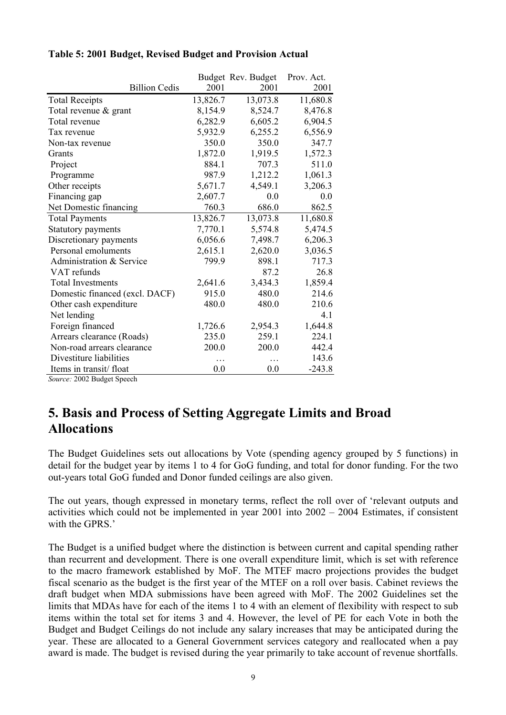|                                |          | Budget Rev. Budget | Prov. Act. |
|--------------------------------|----------|--------------------|------------|
| <b>Billion Cedis</b>           | 2001     | 2001               | 2001       |
| <b>Total Receipts</b>          | 13,826.7 | 13,073.8           | 11,680.8   |
| Total revenue & grant          | 8,154.9  | 8,524.7            | 8,476.8    |
| Total revenue                  | 6,282.9  | 6,605.2            | 6,904.5    |
| Tax revenue                    | 5,932.9  | 6,255.2            | 6,556.9    |
| Non-tax revenue                | 350.0    | 350.0              | 347.7      |
| Grants                         | 1,872.0  | 1,919.5            | 1,572.3    |
| Project                        | 884.1    | 707.3              | 511.0      |
| Programme                      | 987.9    | 1,212.2            | 1,061.3    |
| Other receipts                 | 5,671.7  | 4,549.1            | 3,206.3    |
| Financing gap                  | 2,607.7  | 0.0                | 0.0        |
| Net Domestic financing         | 760.3    | 686.0              | 862.5      |
| <b>Total Payments</b>          | 13,826.7 | 13,073.8           | 11,680.8   |
| Statutory payments             | 7,770.1  | 5,574.8            | 5,474.5    |
| Discretionary payments         | 6,056.6  | 7,498.7            | 6,206.3    |
| Personal emoluments            | 2,615.1  | 2,620.0            | 3,036.5    |
| Administration & Service       | 799.9    | 898.1              | 717.3      |
| VAT refunds                    |          | 87.2               | 26.8       |
| <b>Total Investments</b>       | 2,641.6  | 3,434.3            | 1,859.4    |
| Domestic financed (excl. DACF) | 915.0    | 480.0              | 214.6      |
| Other cash expenditure         | 480.0    | 480.0              | 210.6      |
| Net lending                    |          |                    | 4.1        |
| Foreign financed               | 1,726.6  | 2,954.3            | 1,644.8    |
| Arrears clearance (Roads)      | 235.0    | 259.1              | 224.1      |
| Non-road arrears clearance     | 200.0    | 200.0              | 442.4      |
| Divestiture liabilities        |          |                    | 143.6      |
| Items in transit/float         | 0.0      | 0.0                | $-243.8$   |

#### **Table 5: 2001 Budget, Revised Budget and Provision Actual**

*Source:* 2002 Budget Speech

## **5. Basis and Process of Setting Aggregate Limits and Broad Allocations**

The Budget Guidelines sets out allocations by Vote (spending agency grouped by 5 functions) in detail for the budget year by items 1 to 4 for GoG funding, and total for donor funding. For the two out-years total GoG funded and Donor funded ceilings are also given.

The out years, though expressed in monetary terms, reflect the roll over of 'relevant outputs and activities which could not be implemented in year 2001 into 2002 – 2004 Estimates, if consistent with the GPRS<sup>'</sup>

The Budget is a unified budget where the distinction is between current and capital spending rather than recurrent and development. There is one overall expenditure limit, which is set with reference to the macro framework established by MoF. The MTEF macro projections provides the budget fiscal scenario as the budget is the first year of the MTEF on a roll over basis. Cabinet reviews the draft budget when MDA submissions have been agreed with MoF. The 2002 Guidelines set the limits that MDAs have for each of the items 1 to 4 with an element of flexibility with respect to sub items within the total set for items 3 and 4. However, the level of PE for each Vote in both the Budget and Budget Ceilings do not include any salary increases that may be anticipated during the year. These are allocated to a General Government services category and reallocated when a pay award is made. The budget is revised during the year primarily to take account of revenue shortfalls.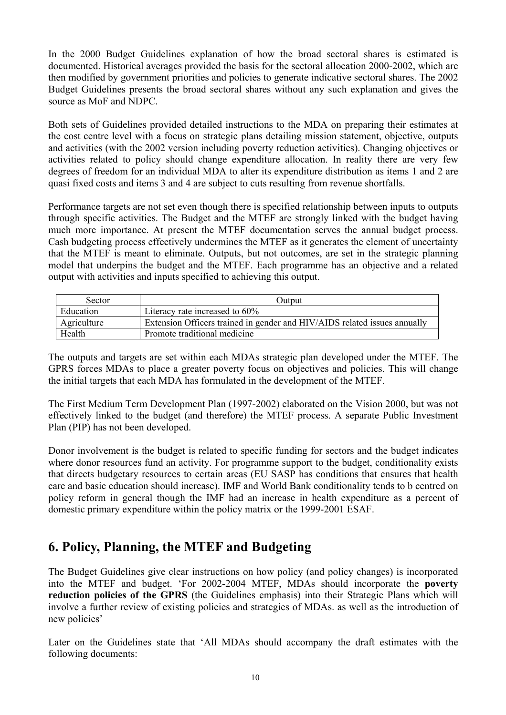In the 2000 Budget Guidelines explanation of how the broad sectoral shares is estimated is documented. Historical averages provided the basis for the sectoral allocation 2000-2002, which are then modified by government priorities and policies to generate indicative sectoral shares. The 2002 Budget Guidelines presents the broad sectoral shares without any such explanation and gives the source as MoF and NDPC.

Both sets of Guidelines provided detailed instructions to the MDA on preparing their estimates at the cost centre level with a focus on strategic plans detailing mission statement, objective, outputs and activities (with the 2002 version including poverty reduction activities). Changing objectives or activities related to policy should change expenditure allocation. In reality there are very few degrees of freedom for an individual MDA to alter its expenditure distribution as items 1 and 2 are quasi fixed costs and items 3 and 4 are subject to cuts resulting from revenue shortfalls.

Performance targets are not set even though there is specified relationship between inputs to outputs through specific activities. The Budget and the MTEF are strongly linked with the budget having much more importance. At present the MTEF documentation serves the annual budget process. Cash budgeting process effectively undermines the MTEF as it generates the element of uncertainty that the MTEF is meant to eliminate. Outputs, but not outcomes, are set in the strategic planning model that underpins the budget and the MTEF. Each programme has an objective and a related output with activities and inputs specified to achieving this output.

| Sector      | Output                                                                    |
|-------------|---------------------------------------------------------------------------|
| Education   | Literacy rate increased to 60%                                            |
| Agriculture | Extension Officers trained in gender and HIV/AIDS related issues annually |
| Health      | Promote traditional medicine                                              |

The outputs and targets are set within each MDAs strategic plan developed under the MTEF. The GPRS forces MDAs to place a greater poverty focus on objectives and policies. This will change the initial targets that each MDA has formulated in the development of the MTEF.

The First Medium Term Development Plan (1997-2002) elaborated on the Vision 2000, but was not effectively linked to the budget (and therefore) the MTEF process. A separate Public Investment Plan (PIP) has not been developed.

Donor involvement is the budget is related to specific funding for sectors and the budget indicates where donor resources fund an activity. For programme support to the budget, conditionality exists that directs budgetary resources to certain areas (EU SASP has conditions that ensures that health care and basic education should increase). IMF and World Bank conditionality tends to b centred on policy reform in general though the IMF had an increase in health expenditure as a percent of domestic primary expenditure within the policy matrix or the 1999-2001 ESAF.

## **6. Policy, Planning, the MTEF and Budgeting**

The Budget Guidelines give clear instructions on how policy (and policy changes) is incorporated into the MTEF and budget. 'For 2002-2004 MTEF, MDAs should incorporate the **poverty reduction policies of the GPRS** (the Guidelines emphasis) into their Strategic Plans which will involve a further review of existing policies and strategies of MDAs. as well as the introduction of new policies'

Later on the Guidelines state that 'All MDAs should accompany the draft estimates with the following documents: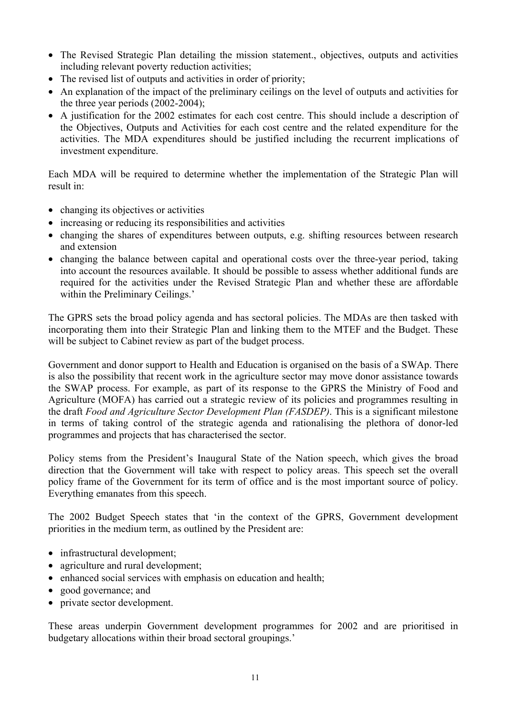- The Revised Strategic Plan detailing the mission statement., objectives, outputs and activities including relevant poverty reduction activities;
- The revised list of outputs and activities in order of priority;
- An explanation of the impact of the preliminary ceilings on the level of outputs and activities for the three year periods (2002-2004);
- A justification for the 2002 estimates for each cost centre. This should include a description of the Objectives, Outputs and Activities for each cost centre and the related expenditure for the activities. The MDA expenditures should be justified including the recurrent implications of investment expenditure.

Each MDA will be required to determine whether the implementation of the Strategic Plan will result in:

- changing its objectives or activities
- increasing or reducing its responsibilities and activities
- changing the shares of expenditures between outputs, e.g. shifting resources between research and extension
- changing the balance between capital and operational costs over the three-year period, taking into account the resources available. It should be possible to assess whether additional funds are required for the activities under the Revised Strategic Plan and whether these are affordable within the Preliminary Ceilings.'

The GPRS sets the broad policy agenda and has sectoral policies. The MDAs are then tasked with incorporating them into their Strategic Plan and linking them to the MTEF and the Budget. These will be subject to Cabinet review as part of the budget process.

Government and donor support to Health and Education is organised on the basis of a SWAp. There is also the possibility that recent work in the agriculture sector may move donor assistance towards the SWAP process. For example, as part of its response to the GPRS the Ministry of Food and Agriculture (MOFA) has carried out a strategic review of its policies and programmes resulting in the draft *Food and Agriculture Sector Development Plan (FASDEP)*. This is a significant milestone in terms of taking control of the strategic agenda and rationalising the plethora of donor-led programmes and projects that has characterised the sector.

Policy stems from the President's Inaugural State of the Nation speech, which gives the broad direction that the Government will take with respect to policy areas. This speech set the overall policy frame of the Government for its term of office and is the most important source of policy. Everything emanates from this speech.

The 2002 Budget Speech states that 'in the context of the GPRS, Government development priorities in the medium term, as outlined by the President are:

- infrastructural development;
- agriculture and rural development;
- enhanced social services with emphasis on education and health;
- good governance; and
- private sector development.

These areas underpin Government development programmes for 2002 and are prioritised in budgetary allocations within their broad sectoral groupings.'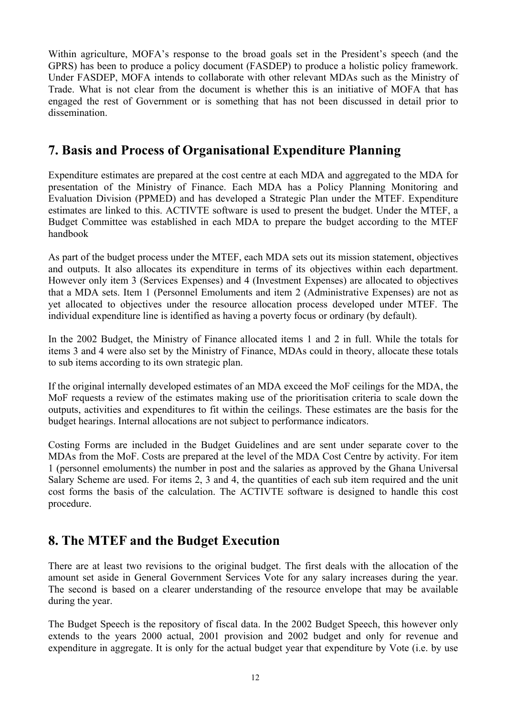Within agriculture, MOFA's response to the broad goals set in the President's speech (and the GPRS) has been to produce a policy document (FASDEP) to produce a holistic policy framework. Under FASDEP, MOFA intends to collaborate with other relevant MDAs such as the Ministry of Trade. What is not clear from the document is whether this is an initiative of MOFA that has engaged the rest of Government or is something that has not been discussed in detail prior to dissemination.

#### **7. Basis and Process of Organisational Expenditure Planning**

Expenditure estimates are prepared at the cost centre at each MDA and aggregated to the MDA for presentation of the Ministry of Finance. Each MDA has a Policy Planning Monitoring and Evaluation Division (PPMED) and has developed a Strategic Plan under the MTEF. Expenditure estimates are linked to this. ACTIVTE software is used to present the budget. Under the MTEF, a Budget Committee was established in each MDA to prepare the budget according to the MTEF handbook

As part of the budget process under the MTEF, each MDA sets out its mission statement, objectives and outputs. It also allocates its expenditure in terms of its objectives within each department. However only item 3 (Services Expenses) and 4 (Investment Expenses) are allocated to objectives that a MDA sets. Item 1 (Personnel Emoluments and item 2 (Administrative Expenses) are not as yet allocated to objectives under the resource allocation process developed under MTEF. The individual expenditure line is identified as having a poverty focus or ordinary (by default).

In the 2002 Budget, the Ministry of Finance allocated items 1 and 2 in full. While the totals for items 3 and 4 were also set by the Ministry of Finance, MDAs could in theory, allocate these totals to sub items according to its own strategic plan.

If the original internally developed estimates of an MDA exceed the MoF ceilings for the MDA, the MoF requests a review of the estimates making use of the prioritisation criteria to scale down the outputs, activities and expenditures to fit within the ceilings. These estimates are the basis for the budget hearings. Internal allocations are not subject to performance indicators.

Costing Forms are included in the Budget Guidelines and are sent under separate cover to the MDAs from the MoF. Costs are prepared at the level of the MDA Cost Centre by activity. For item 1 (personnel emoluments) the number in post and the salaries as approved by the Ghana Universal Salary Scheme are used. For items 2, 3 and 4, the quantities of each sub item required and the unit cost forms the basis of the calculation. The ACTIVTE software is designed to handle this cost procedure.

## **8. The MTEF and the Budget Execution**

There are at least two revisions to the original budget. The first deals with the allocation of the amount set aside in General Government Services Vote for any salary increases during the year. The second is based on a clearer understanding of the resource envelope that may be available during the year.

The Budget Speech is the repository of fiscal data. In the 2002 Budget Speech, this however only extends to the years 2000 actual, 2001 provision and 2002 budget and only for revenue and expenditure in aggregate. It is only for the actual budget year that expenditure by Vote (i.e. by use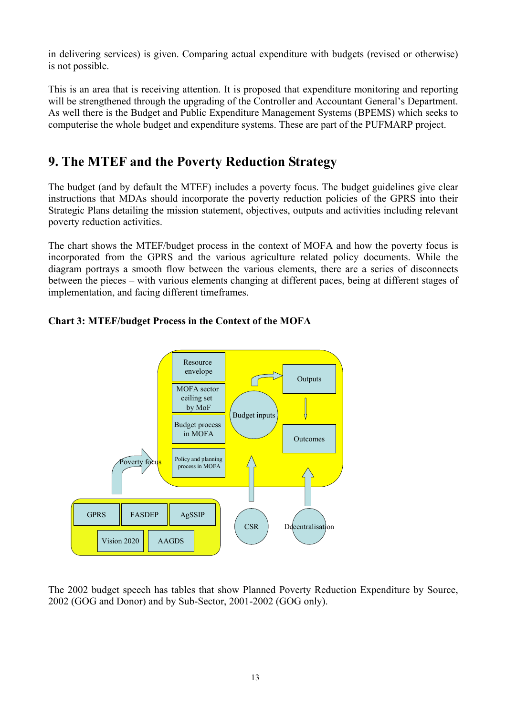in delivering services) is given. Comparing actual expenditure with budgets (revised or otherwise) is not possible.

This is an area that is receiving attention. It is proposed that expenditure monitoring and reporting will be strengthened through the upgrading of the Controller and Accountant General's Department. As well there is the Budget and Public Expenditure Management Systems (BPEMS) which seeks to computerise the whole budget and expenditure systems. These are part of the PUFMARP project.

## **9. The MTEF and the Poverty Reduction Strategy**

The budget (and by default the MTEF) includes a poverty focus. The budget guidelines give clear instructions that MDAs should incorporate the poverty reduction policies of the GPRS into their Strategic Plans detailing the mission statement, objectives, outputs and activities including relevant poverty reduction activities.

The chart shows the MTEF/budget process in the context of MOFA and how the poverty focus is incorporated from the GPRS and the various agriculture related policy documents. While the diagram portrays a smooth flow between the various elements, there are a series of disconnects between the pieces – with various elements changing at different paces, being at different stages of implementation, and facing different timeframes.



#### **Chart 3: MTEF/budget Process in the Context of the MOFA**

The 2002 budget speech has tables that show Planned Poverty Reduction Expenditure by Source, 2002 (GOG and Donor) and by Sub-Sector, 2001-2002 (GOG only).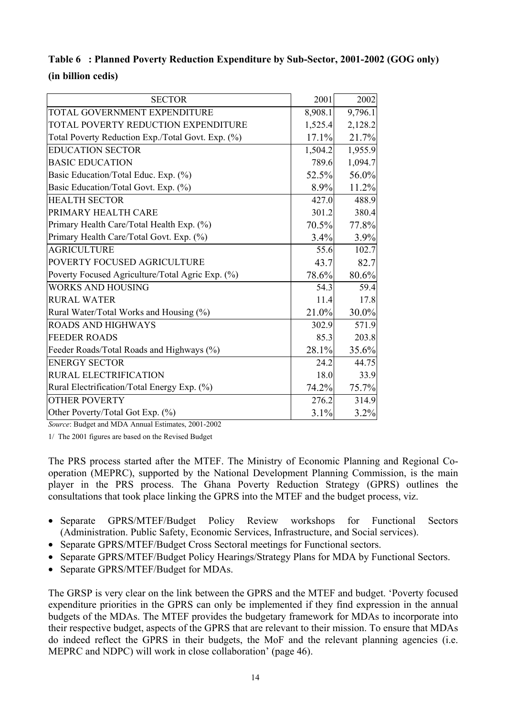|                    | Table 6 : Planned Poverty Reduction Expenditure by Sub-Sector, 2001-2002 (GOG only) |
|--------------------|-------------------------------------------------------------------------------------|
| (in billion cedis) |                                                                                     |

| <b>SECTOR</b>                                     | 2001    | 2002    |
|---------------------------------------------------|---------|---------|
| TOTAL GOVERNMENT EXPENDITURE                      | 8,908.1 | 9,796.1 |
| TOTAL POVERTY REDUCTION EXPENDITURE               | 1,525.4 | 2,128.2 |
| Total Poverty Reduction Exp./Total Govt. Exp. (%) | 17.1%   | 21.7%   |
| <b>EDUCATION SECTOR</b>                           | 1,504.2 | 1,955.9 |
| <b>BASIC EDUCATION</b>                            | 789.6   | 1,094.7 |
| Basic Education/Total Educ. Exp. (%)              | 52.5%   | 56.0%   |
| Basic Education/Total Govt. Exp. (%)              | 8.9%    | 11.2%   |
| <b>HEALTH SECTOR</b>                              | 427.0   | 488.9   |
| PRIMARY HEALTH CARE                               | 301.2   | 380.4   |
| Primary Health Care/Total Health Exp. (%)         | 70.5%   | 77.8%   |
| Primary Health Care/Total Govt. Exp. (%)          | 3.4%    | 3.9%    |
| <b>AGRICULTURE</b>                                | 55.6    | 102.7   |
| POVERTY FOCUSED AGRICULTURE                       | 43.7    | 82.7    |
| Poverty Focused Agriculture/Total Agric Exp. (%)  | 78.6%   | 80.6%   |
| <b>WORKS AND HOUSING</b>                          | 54.3    | 59.4    |
| <b>RURAL WATER</b>                                | 11.4    | 17.8    |
| Rural Water/Total Works and Housing (%)           | 21.0%   | 30.0%   |
| <b>ROADS AND HIGHWAYS</b>                         | 302.9   | 571.9   |
| <b>FEEDER ROADS</b>                               | 85.3    | 203.8   |
| Feeder Roads/Total Roads and Highways (%)         | 28.1%   | 35.6%   |
| <b>ENERGY SECTOR</b>                              | 24.2    | 44.75   |
| RURAL ELECTRIFICATION                             | 18.0    | 33.9    |
| Rural Electrification/Total Energy Exp. (%)       | 74.2%   | 75.7%   |
| <b>OTHER POVERTY</b>                              | 276.2   | 314.9   |
| Other Poverty/Total Got Exp. (%)                  | 3.1%    | 3.2%    |

*Source*: Budget and MDA Annual Estimates, 2001-2002

1/ The 2001 figures are based on the Revised Budget

The PRS process started after the MTEF. The Ministry of Economic Planning and Regional Cooperation (MEPRC), supported by the National Development Planning Commission, is the main player in the PRS process. The Ghana Poverty Reduction Strategy (GPRS) outlines the consultations that took place linking the GPRS into the MTEF and the budget process, viz.

- Separate GPRS/MTEF/Budget Policy Review workshops for Functional Sectors (Administration. Public Safety, Economic Services, Infrastructure, and Social services).
- Separate GPRS/MTEF/Budget Cross Sectoral meetings for Functional sectors.
- Separate GPRS/MTEF/Budget Policy Hearings/Strategy Plans for MDA by Functional Sectors.
- Separate GPRS/MTEF/Budget for MDAs.

The GRSP is very clear on the link between the GPRS and the MTEF and budget. 'Poverty focused expenditure priorities in the GPRS can only be implemented if they find expression in the annual budgets of the MDAs. The MTEF provides the budgetary framework for MDAs to incorporate into their respective budget, aspects of the GPRS that are relevant to their mission. To ensure that MDAs do indeed reflect the GPRS in their budgets, the MoF and the relevant planning agencies (i.e. MEPRC and NDPC) will work in close collaboration' (page 46).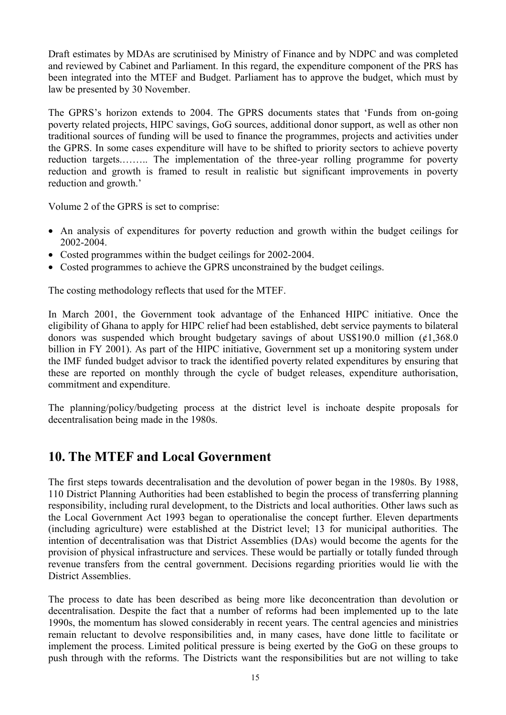Draft estimates by MDAs are scrutinised by Ministry of Finance and by NDPC and was completed and reviewed by Cabinet and Parliament. In this regard, the expenditure component of the PRS has been integrated into the MTEF and Budget. Parliament has to approve the budget, which must by law be presented by 30 November.

The GPRS's horizon extends to 2004. The GPRS documents states that 'Funds from on-going poverty related projects, HIPC savings, GoG sources, additional donor support, as well as other non traditional sources of funding will be used to finance the programmes, projects and activities under the GPRS. In some cases expenditure will have to be shifted to priority sectors to achieve poverty reduction targets.…….. The implementation of the three-year rolling programme for poverty reduction and growth is framed to result in realistic but significant improvements in poverty reduction and growth.'

Volume 2 of the GPRS is set to comprise:

- An analysis of expenditures for poverty reduction and growth within the budget ceilings for 2002-2004.
- Costed programmes within the budget ceilings for 2002-2004.
- Costed programmes to achieve the GPRS unconstrained by the budget ceilings.

The costing methodology reflects that used for the MTEF.

In March 2001, the Government took advantage of the Enhanced HIPC initiative. Once the eligibility of Ghana to apply for HIPC relief had been established, debt service payments to bilateral donors was suspended which brought budgetary savings of about US\$190.0 million  $(61,368.0)$ billion in FY 2001). As part of the HIPC initiative, Government set up a monitoring system under the IMF funded budget advisor to track the identified poverty related expenditures by ensuring that these are reported on monthly through the cycle of budget releases, expenditure authorisation, commitment and expenditure.

The planning/policy/budgeting process at the district level is inchoate despite proposals for decentralisation being made in the 1980s.

#### **10. The MTEF and Local Government**

The first steps towards decentralisation and the devolution of power began in the 1980s. By 1988, 110 District Planning Authorities had been established to begin the process of transferring planning responsibility, including rural development, to the Districts and local authorities. Other laws such as the Local Government Act 1993 began to operationalise the concept further. Eleven departments (including agriculture) were established at the District level; 13 for municipal authorities. The intention of decentralisation was that District Assemblies (DAs) would become the agents for the provision of physical infrastructure and services. These would be partially or totally funded through revenue transfers from the central government. Decisions regarding priorities would lie with the District Assemblies.

The process to date has been described as being more like deconcentration than devolution or decentralisation. Despite the fact that a number of reforms had been implemented up to the late 1990s, the momentum has slowed considerably in recent years. The central agencies and ministries remain reluctant to devolve responsibilities and, in many cases, have done little to facilitate or implement the process. Limited political pressure is being exerted by the GoG on these groups to push through with the reforms. The Districts want the responsibilities but are not willing to take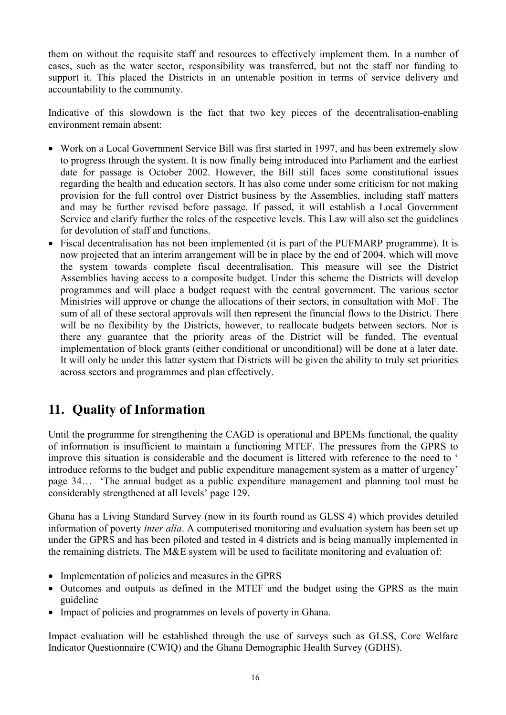them on without the requisite staff and resources to effectively implement them. In a number of cases, such as the water sector, responsibility was transferred, but not the staff nor funding to support it. This placed the Districts in an untenable position in terms of service delivery and accountability to the community.

Indicative of this slowdown is the fact that two key pieces of the decentralisation-enabling environment remain absent:

- Work on a Local Government Service Bill was first started in 1997, and has been extremely slow to progress through the system. It is now finally being introduced into Parliament and the earliest date for passage is October 2002. However, the Bill still faces some constitutional issues regarding the health and education sectors. It has also come under some criticism for not making provision for the full control over District business by the Assemblies, including staff matters and may be further revised before passage. If passed, it will establish a Local Government Service and clarify further the roles of the respective levels. This Law will also set the guidelines for devolution of staff and functions.
- Fiscal decentralisation has not been implemented (it is part of the PUFMARP programme). It is now projected that an interim arrangement will be in place by the end of 2004, which will move the system towards complete fiscal decentralisation. This measure will see the District Assemblies having access to a composite budget. Under this scheme the Districts will develop programmes and will place a budget request with the central government. The various sector Ministries will approve or change the allocations of their sectors, in consultation with MoF. The sum of all of these sectoral approvals will then represent the financial flows to the District. There will be no flexibility by the Districts, however, to reallocate budgets between sectors. Nor is there any guarantee that the priority areas of the District will be funded. The eventual implementation of block grants (either conditional or unconditional) will be done at a later date. It will only be under this latter system that Districts will be given the ability to truly set priorities across sectors and programmes and plan effectively.

## **11. Quality of Information**

Until the programme for strengthening the CAGD is operational and BPEMs functional, the quality of information is insufficient to maintain a functioning MTEF. The pressures from the GPRS to improve this situation is considerable and the document is littered with reference to the need to ' introduce reforms to the budget and public expenditure management system as a matter of urgency' page 34… 'The annual budget as a public expenditure management and planning tool must be considerably strengthened at all levels' page 129.

Ghana has a Living Standard Survey (now in its fourth round as GLSS 4) which provides detailed information of poverty *inter alia*. A computerised monitoring and evaluation system has been set up under the GPRS and has been piloted and tested in 4 districts and is being manually implemented in the remaining districts. The M&E system will be used to facilitate monitoring and evaluation of:

- Implementation of policies and measures in the GPRS
- Outcomes and outputs as defined in the MTEF and the budget using the GPRS as the main guideline
- Impact of policies and programmes on levels of poverty in Ghana.

Impact evaluation will be established through the use of surveys such as GLSS, Core Welfare Indicator Questionnaire (CWIQ) and the Ghana Demographic Health Survey (GDHS).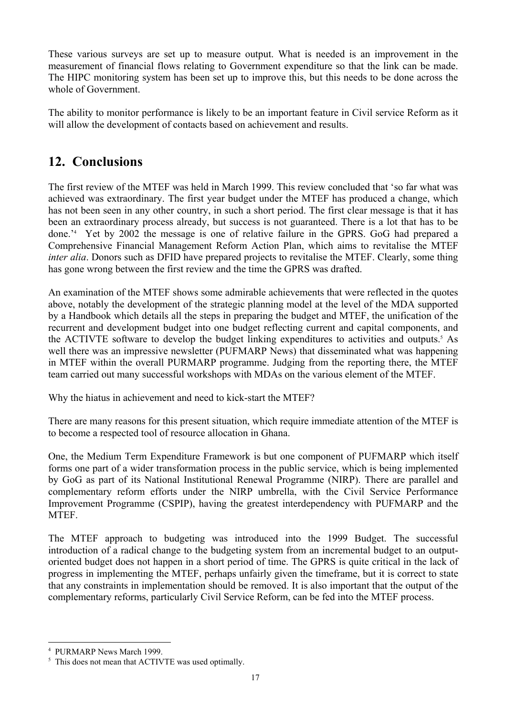These various surveys are set up to measure output. What is needed is an improvement in the measurement of financial flows relating to Government expenditure so that the link can be made. The HIPC monitoring system has been set up to improve this, but this needs to be done across the whole of Government.

The ability to monitor performance is likely to be an important feature in Civil service Reform as it will allow the development of contacts based on achievement and results.

#### **12. Conclusions**

The first review of the MTEF was held in March 1999. This review concluded that 'so far what was achieved was extraordinary. The first year budget under the MTEF has produced a change, which has not been seen in any other country, in such a short period. The first clear message is that it has been an extraordinary process already, but success is not guaranteed. There is a lot that has to be done.'4 Yet by 2002 the message is one of relative failure in the GPRS. GoG had prepared a Comprehensive Financial Management Reform Action Plan, which aims to revitalise the MTEF *inter alia*. Donors such as DFID have prepared projects to revitalise the MTEF. Clearly, some thing has gone wrong between the first review and the time the GPRS was drafted.

An examination of the MTEF shows some admirable achievements that were reflected in the quotes above, notably the development of the strategic planning model at the level of the MDA supported by a Handbook which details all the steps in preparing the budget and MTEF, the unification of the recurrent and development budget into one budget reflecting current and capital components, and the ACTIVTE software to develop the budget linking expenditures to activities and outputs.<sup>5</sup> As well there was an impressive newsletter (PUFMARP News) that disseminated what was happening in MTEF within the overall PURMARP programme. Judging from the reporting there, the MTEF team carried out many successful workshops with MDAs on the various element of the MTEF.

Why the hiatus in achievement and need to kick-start the MTEF?

There are many reasons for this present situation, which require immediate attention of the MTEF is to become a respected tool of resource allocation in Ghana.

One, the Medium Term Expenditure Framework is but one component of PUFMARP which itself forms one part of a wider transformation process in the public service, which is being implemented by GoG as part of its National Institutional Renewal Programme (NIRP). There are parallel and complementary reform efforts under the NIRP umbrella, with the Civil Service Performance Improvement Programme (CSPIP), having the greatest interdependency with PUFMARP and the MTEF.

The MTEF approach to budgeting was introduced into the 1999 Budget. The successful introduction of a radical change to the budgeting system from an incremental budget to an outputoriented budget does not happen in a short period of time. The GPRS is quite critical in the lack of progress in implementing the MTEF, perhaps unfairly given the timeframe, but it is correct to state that any constraints in implementation should be removed. It is also important that the output of the complementary reforms, particularly Civil Service Reform, can be fed into the MTEF process.

 $\overline{a}$ 

<sup>4</sup> PURMARP News March 1999.

<sup>&</sup>lt;sup>5</sup> This does not mean that ACTIVTE was used optimally.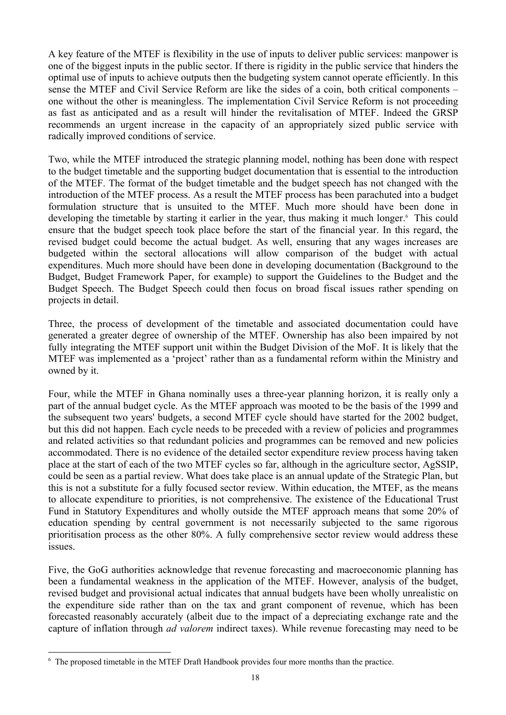A key feature of the MTEF is flexibility in the use of inputs to deliver public services: manpower is one of the biggest inputs in the public sector. If there is rigidity in the public service that hinders the optimal use of inputs to achieve outputs then the budgeting system cannot operate efficiently. In this sense the MTEF and Civil Service Reform are like the sides of a coin, both critical components – one without the other is meaningless. The implementation Civil Service Reform is not proceeding as fast as anticipated and as a result will hinder the revitalisation of MTEF. Indeed the GRSP recommends an urgent increase in the capacity of an appropriately sized public service with radically improved conditions of service.

Two, while the MTEF introduced the strategic planning model, nothing has been done with respect to the budget timetable and the supporting budget documentation that is essential to the introduction of the MTEF. The format of the budget timetable and the budget speech has not changed with the introduction of the MTEF process. As a result the MTEF process has been parachuted into a budget formulation structure that is unsuited to the MTEF. Much more should have been done in developing the timetable by starting it earlier in the year, thus making it much longer.<sup>6</sup> This could ensure that the budget speech took place before the start of the financial year. In this regard, the revised budget could become the actual budget. As well, ensuring that any wages increases are budgeted within the sectoral allocations will allow comparison of the budget with actual expenditures. Much more should have been done in developing documentation (Background to the Budget, Budget Framework Paper, for example) to support the Guidelines to the Budget and the Budget Speech. The Budget Speech could then focus on broad fiscal issues rather spending on projects in detail.

Three, the process of development of the timetable and associated documentation could have generated a greater degree of ownership of the MTEF. Ownership has also been impaired by not fully integrating the MTEF support unit within the Budget Division of the MoF. It is likely that the MTEF was implemented as a 'project' rather than as a fundamental reform within the Ministry and owned by it.

Four, while the MTEF in Ghana nominally uses a three-year planning horizon, it is really only a part of the annual budget cycle. As the MTEF approach was mooted to be the basis of the 1999 and the subsequent two years' budgets, a second MTEF cycle should have started for the 2002 budget, but this did not happen. Each cycle needs to be preceded with a review of policies and programmes and related activities so that redundant policies and programmes can be removed and new policies accommodated. There is no evidence of the detailed sector expenditure review process having taken place at the start of each of the two MTEF cycles so far, although in the agriculture sector, AgSSIP, could be seen as a partial review. What does take place is an annual update of the Strategic Plan, but this is not a substitute for a fully focused sector review. Within education, the MTEF, as the means to allocate expenditure to priorities, is not comprehensive. The existence of the Educational Trust Fund in Statutory Expenditures and wholly outside the MTEF approach means that some 20% of education spending by central government is not necessarily subjected to the same rigorous prioritisation process as the other 80%. A fully comprehensive sector review would address these issues.

Five, the GoG authorities acknowledge that revenue forecasting and macroeconomic planning has been a fundamental weakness in the application of the MTEF. However, analysis of the budget, revised budget and provisional actual indicates that annual budgets have been wholly unrealistic on the expenditure side rather than on the tax and grant component of revenue, which has been forecasted reasonably accurately (albeit due to the impact of a depreciating exchange rate and the capture of inflation through *ad valorem* indirect taxes). While revenue forecasting may need to be

 $\overline{a}$ 

<sup>&</sup>lt;sup>6</sup> The proposed timetable in the MTEF Draft Handbook provides four more months than the practice.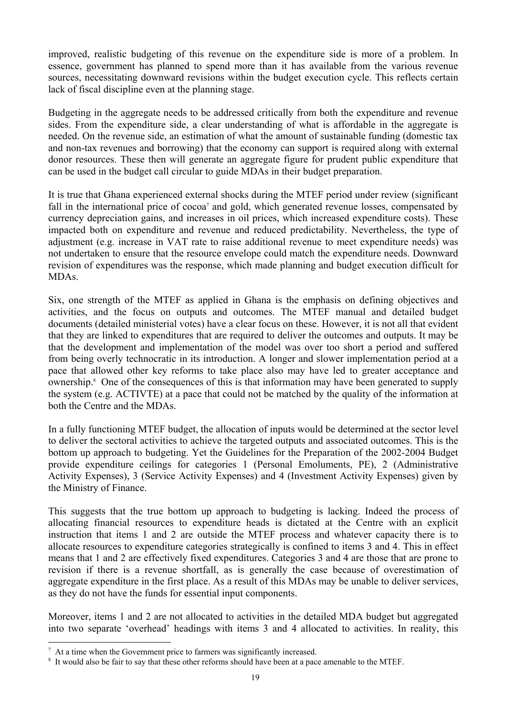improved, realistic budgeting of this revenue on the expenditure side is more of a problem. In essence, government has planned to spend more than it has available from the various revenue sources, necessitating downward revisions within the budget execution cycle. This reflects certain lack of fiscal discipline even at the planning stage.

Budgeting in the aggregate needs to be addressed critically from both the expenditure and revenue sides. From the expenditure side, a clear understanding of what is affordable in the aggregate is needed. On the revenue side, an estimation of what the amount of sustainable funding (domestic tax and non-tax revenues and borrowing) that the economy can support is required along with external donor resources. These then will generate an aggregate figure for prudent public expenditure that can be used in the budget call circular to guide MDAs in their budget preparation.

It is true that Ghana experienced external shocks during the MTEF period under review (significant fall in the international price of cocoa<sup>7</sup> and gold, which generated revenue losses, compensated by currency depreciation gains, and increases in oil prices, which increased expenditure costs). These impacted both on expenditure and revenue and reduced predictability. Nevertheless, the type of adjustment (e.g. increase in VAT rate to raise additional revenue to meet expenditure needs) was not undertaken to ensure that the resource envelope could match the expenditure needs. Downward revision of expenditures was the response, which made planning and budget execution difficult for MDAs.

Six, one strength of the MTEF as applied in Ghana is the emphasis on defining objectives and activities, and the focus on outputs and outcomes. The MTEF manual and detailed budget documents (detailed ministerial votes) have a clear focus on these. However, it is not all that evident that they are linked to expenditures that are required to deliver the outcomes and outputs. It may be that the development and implementation of the model was over too short a period and suffered from being overly technocratic in its introduction. A longer and slower implementation period at a pace that allowed other key reforms to take place also may have led to greater acceptance and ownership.<sup>8</sup> One of the consequences of this is that information may have been generated to supply the system (e.g. ACTIVTE) at a pace that could not be matched by the quality of the information at both the Centre and the MDAs.

In a fully functioning MTEF budget, the allocation of inputs would be determined at the sector level to deliver the sectoral activities to achieve the targeted outputs and associated outcomes. This is the bottom up approach to budgeting. Yet the Guidelines for the Preparation of the 2002-2004 Budget provide expenditure ceilings for categories 1 (Personal Emoluments, PE), 2 (Administrative Activity Expenses), 3 (Service Activity Expenses) and 4 (Investment Activity Expenses) given by the Ministry of Finance.

This suggests that the true bottom up approach to budgeting is lacking. Indeed the process of allocating financial resources to expenditure heads is dictated at the Centre with an explicit instruction that items 1 and 2 are outside the MTEF process and whatever capacity there is to allocate resources to expenditure categories strategically is confined to items 3 and 4. This in effect means that 1 and 2 are effectively fixed expenditures. Categories 3 and 4 are those that are prone to revision if there is a revenue shortfall, as is generally the case because of overestimation of aggregate expenditure in the first place. As a result of this MDAs may be unable to deliver services, as they do not have the funds for essential input components.

Moreover, items 1 and 2 are not allocated to activities in the detailed MDA budget but aggregated into two separate 'overhead' headings with items 3 and 4 allocated to activities. In reality, this

 $\overline{a}$ 

<sup>7</sup> At a time when the Government price to farmers was significantly increased.

<sup>&</sup>lt;sup>8</sup> It would also be fair to say that these other reforms should have been at a pace amenable to the MTEF.